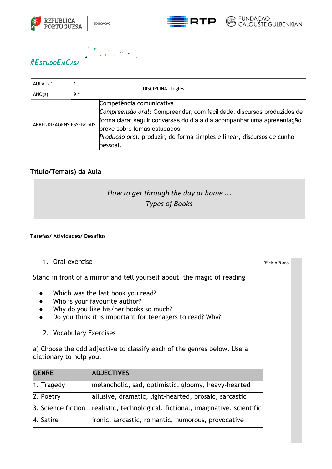





3º ciclo/9 ano



## *#ESTUDOEMCASA*

| AULA N.º                 |     | DISCIPLINA Inglês                                                                                                                                                                                                                                                                                   |
|--------------------------|-----|-----------------------------------------------------------------------------------------------------------------------------------------------------------------------------------------------------------------------------------------------------------------------------------------------------|
| ANO(s)                   | 9.° |                                                                                                                                                                                                                                                                                                     |
| APRENDIZAGENS ESSENCIAIS |     | Competência comunicativa<br>Compreensão oral: Compreender, com facilidade, discursos produzidos de<br>forma clara; seguir conversas do dia a dia; acompanhar uma apresentação<br>breve sobre temas estudados;<br>Produção oral: produzir, de forma simples e linear, discursos de cunho<br>pessoal. |

## **Título/Tema(s) da Aula**

## *How to get through the day at home* … *Types of Books*

## **Tarefas/ Atividades/ Desafios**

1. Oral exercise

Stand in front of a mirror and tell yourself about the magic of reading

- Which was the last book you read?
- Who is your favourite author?
- Why do you like his/her books so much?
- Do you think it is important for teenagers to read? Why?
	- 2. Vocabulary Exercises

a) Choose the odd adjective to classify each of the genres below. Use a dictionary to help you.

| <b>GENRE</b>       | <b>ADJECTIVES</b>                                            |
|--------------------|--------------------------------------------------------------|
| 1. Tragedy         | melancholic, sad, optimistic, gloomy, heavy-hearted          |
| 2. Poetry          | allusive, dramatic, light-hearted, prosaic, sarcastic        |
| 3. Science fiction | realistic, technological, fictional, imaginative, scientific |
| 4. Satire          | ironic, sarcastic, romantic, humorous, provocative           |